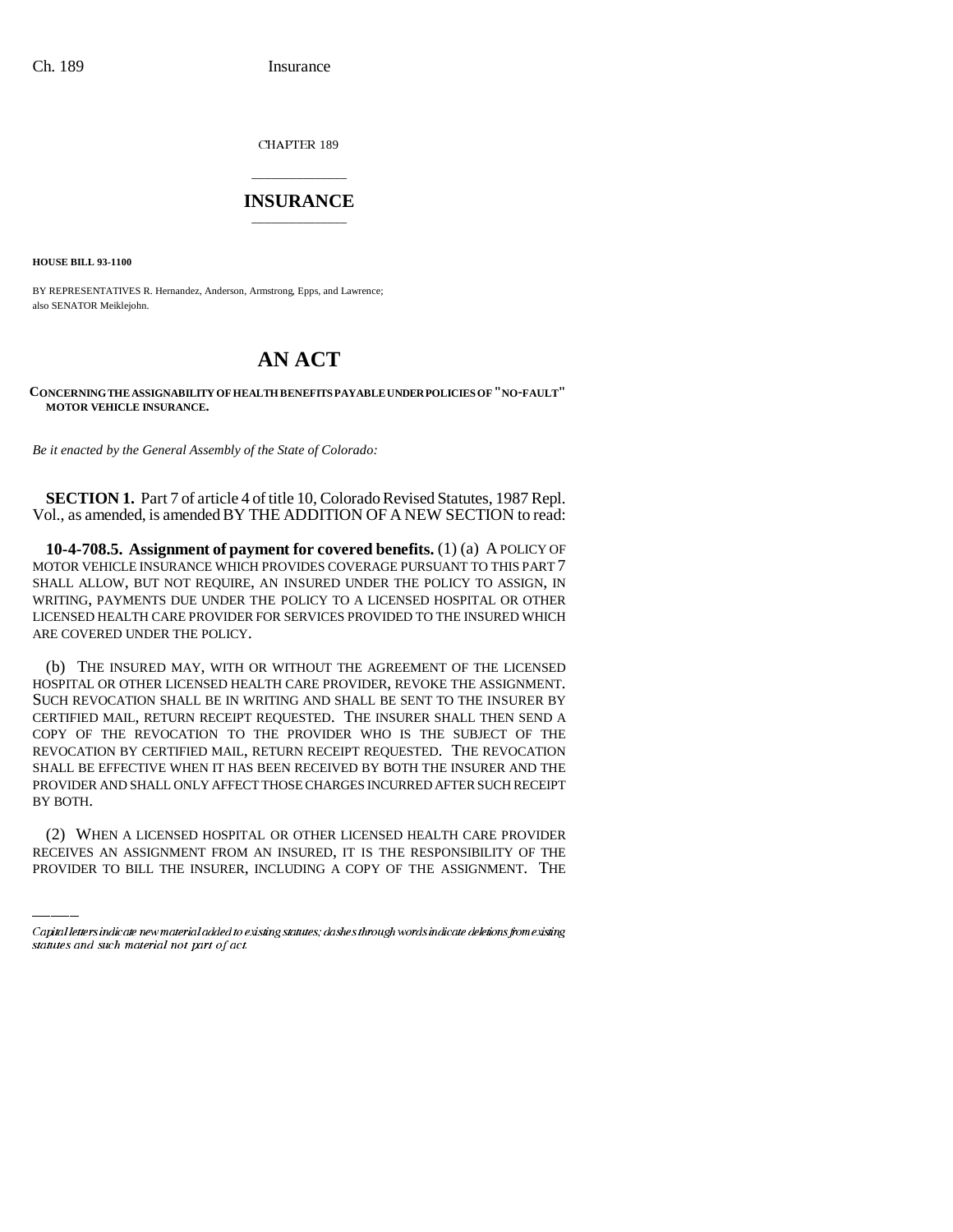CHAPTER 189

## \_\_\_\_\_\_\_\_\_\_\_\_\_\_\_ **INSURANCE** \_\_\_\_\_\_\_\_\_\_\_\_\_\_\_

**HOUSE BILL 93-1100**

BY REPRESENTATIVES R. Hernandez, Anderson, Armstrong, Epps, and Lawrence; also SENATOR Meiklejohn.

## **AN ACT**

## **CONCERNING THE ASSIGNABILITY OF HEALTH BENEFITS PAYABLE UNDER POLICIES OF "NO-FAULT" MOTOR VEHICLE INSURANCE.**

*Be it enacted by the General Assembly of the State of Colorado:*

**SECTION 1.** Part 7 of article 4 of title 10, Colorado Revised Statutes, 1987 Repl. Vol., as amended, is amended BY THE ADDITION OF A NEW SECTION to read:

**10-4-708.5. Assignment of payment for covered benefits.** (1) (a) A POLICY OF MOTOR VEHICLE INSURANCE WHICH PROVIDES COVERAGE PURSUANT TO THIS PART 7 SHALL ALLOW, BUT NOT REQUIRE, AN INSURED UNDER THE POLICY TO ASSIGN, IN WRITING, PAYMENTS DUE UNDER THE POLICY TO A LICENSED HOSPITAL OR OTHER LICENSED HEALTH CARE PROVIDER FOR SERVICES PROVIDED TO THE INSURED WHICH ARE COVERED UNDER THE POLICY.

BY BOTH. (b) THE INSURED MAY, WITH OR WITHOUT THE AGREEMENT OF THE LICENSED HOSPITAL OR OTHER LICENSED HEALTH CARE PROVIDER, REVOKE THE ASSIGNMENT. SUCH REVOCATION SHALL BE IN WRITING AND SHALL BE SENT TO THE INSURER BY CERTIFIED MAIL, RETURN RECEIPT REQUESTED. THE INSURER SHALL THEN SEND A COPY OF THE REVOCATION TO THE PROVIDER WHO IS THE SUBJECT OF THE REVOCATION BY CERTIFIED MAIL, RETURN RECEIPT REQUESTED. THE REVOCATION SHALL BE EFFECTIVE WHEN IT HAS BEEN RECEIVED BY BOTH THE INSURER AND THE PROVIDER AND SHALL ONLY AFFECT THOSE CHARGES INCURRED AFTER SUCH RECEIPT

(2) WHEN A LICENSED HOSPITAL OR OTHER LICENSED HEALTH CARE PROVIDER RECEIVES AN ASSIGNMENT FROM AN INSURED, IT IS THE RESPONSIBILITY OF THE PROVIDER TO BILL THE INSURER, INCLUDING A COPY OF THE ASSIGNMENT. THE

Capital letters indicate new material added to existing statutes; dashes through words indicate deletions from existing statutes and such material not part of act.